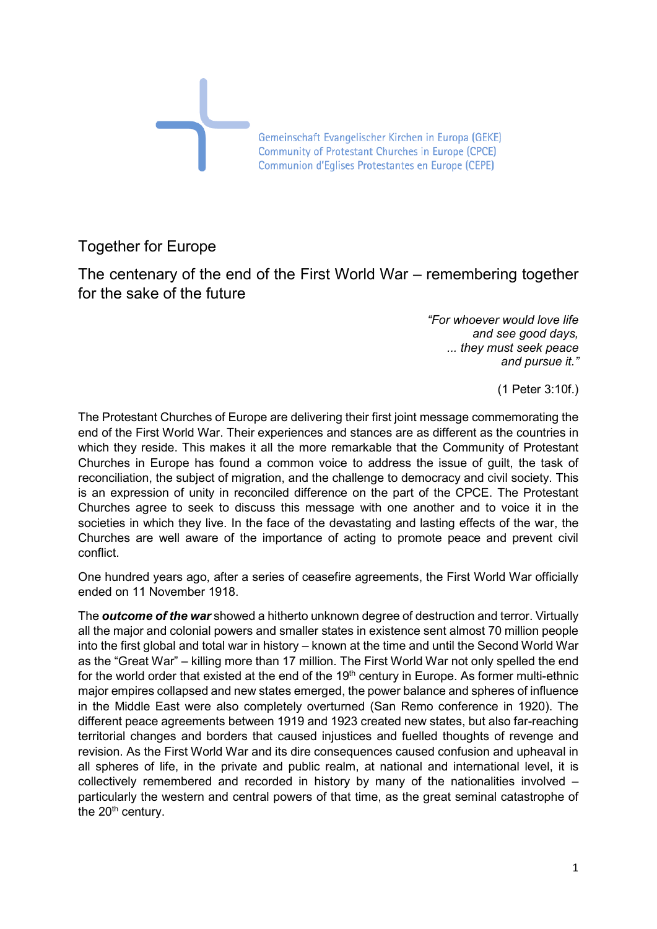

## Together for Europe

The centenary of the end of the First World War – remembering together for the sake of the future

> *"For whoever would love life and see good days, ... they must seek peace and pursue it."*

> > (1 Peter 3:10f.)

The Protestant Churches of Europe are delivering their first joint message commemorating the end of the First World War. Their experiences and stances are as different as the countries in which they reside. This makes it all the more remarkable that the Community of Protestant Churches in Europe has found a common voice to address the issue of guilt, the task of reconciliation, the subject of migration, and the challenge to democracy and civil society. This is an expression of unity in reconciled difference on the part of the CPCE. The Protestant Churches agree to seek to discuss this message with one another and to voice it in the societies in which they live. In the face of the devastating and lasting effects of the war, the Churches are well aware of the importance of acting to promote peace and prevent civil conflict.

One hundred years ago, after a series of ceasefire agreements, the First World War officially ended on 11 November 1918.

The *outcome of the war* showed a hitherto unknown degree of destruction and terror. Virtually all the major and colonial powers and smaller states in existence sent almost 70 million people into the first global and total war in history – known at the time and until the Second World War as the "Great War" – killing more than 17 million. The First World War not only spelled the end for the world order that existed at the end of the  $19<sup>th</sup>$  century in Europe. As former multi-ethnic major empires collapsed and new states emerged, the power balance and spheres of influence in the Middle East were also completely overturned (San Remo conference in 1920). The different peace agreements between 1919 and 1923 created new states, but also far-reaching territorial changes and borders that caused injustices and fuelled thoughts of revenge and revision. As the First World War and its dire consequences caused confusion and upheaval in all spheres of life, in the private and public realm, at national and international level, it is collectively remembered and recorded in history by many of the nationalities involved – particularly the western and central powers of that time, as the great seminal catastrophe of the  $20<sup>th</sup>$  century.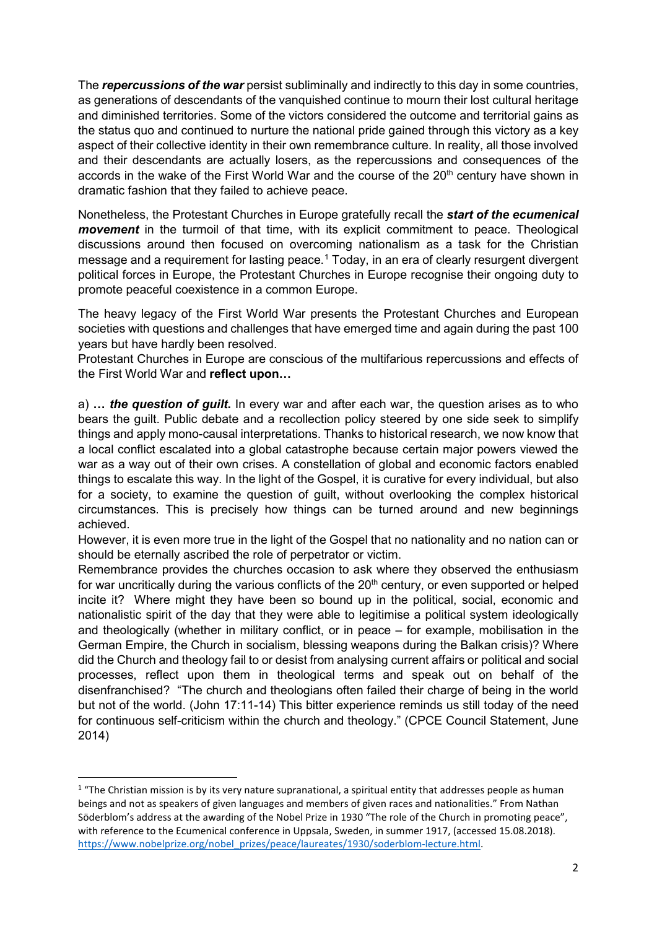The *repercussions of the war* persist subliminally and indirectly to this day in some countries, as generations of descendants of the vanquished continue to mourn their lost cultural heritage and diminished territories. Some of the victors considered the outcome and territorial gains as the status quo and continued to nurture the national pride gained through this victory as a key aspect of their collective identity in their own remembrance culture. In reality, all those involved and their descendants are actually losers, as the repercussions and consequences of the accords in the wake of the First World War and the course of the  $20<sup>th</sup>$  century have shown in dramatic fashion that they failed to achieve peace.

Nonetheless, the Protestant Churches in Europe gratefully recall the *start of the ecumenical movement* in the turmoil of that time, with its explicit commitment to peace. Theological discussions around then focused on overcoming nationalism as a task for the Christian message and a requirement for lasting peace.<sup>[1](#page-1-0)</sup> Today, in an era of clearly resurgent divergent political forces in Europe, the Protestant Churches in Europe recognise their ongoing duty to promote peaceful coexistence in a common Europe.

The heavy legacy of the First World War presents the Protestant Churches and European societies with questions and challenges that have emerged time and again during the past 100 years but have hardly been resolved.

Protestant Churches in Europe are conscious of the multifarious repercussions and effects of the First World War and **reflect upon…** 

a) **…** *the question of guilt***.** In every war and after each war, the question arises as to who bears the guilt. Public debate and a recollection policy steered by one side seek to simplify things and apply mono-causal interpretations. Thanks to historical research, we now know that a local conflict escalated into a global catastrophe because certain major powers viewed the war as a way out of their own crises. A constellation of global and economic factors enabled things to escalate this way. In the light of the Gospel, it is curative for every individual, but also for a society, to examine the question of guilt, without overlooking the complex historical circumstances. This is precisely how things can be turned around and new beginnings achieved.

However, it is even more true in the light of the Gospel that no nationality and no nation can or should be eternally ascribed the role of perpetrator or victim.

Remembrance provides the churches occasion to ask where they observed the enthusiasm for war uncritically during the various conflicts of the  $20<sup>th</sup>$  century, or even supported or helped incite it? Where might they have been so bound up in the political, social, economic and nationalistic spirit of the day that they were able to legitimise a political system ideologically and theologically (whether in military conflict, or in peace – for example, mobilisation in the German Empire, the Church in socialism, blessing weapons during the Balkan crisis)? Where did the Church and theology fail to or desist from analysing current affairs or political and social processes, reflect upon them in theological terms and speak out on behalf of the disenfranchised? "The church and theologians often failed their charge of being in the world but not of the world. (John 17:11-14) This bitter experience reminds us still today of the need for continuous self-criticism within the church and theology." (CPCE Council Statement, June 2014)

<span id="page-1-0"></span> $1$  "The Christian mission is by its very nature supranational, a spiritual entity that addresses people as human beings and not as speakers of given languages and members of given races and nationalities." From Nathan Söderblom's address at the awarding of the Nobel Prize in 1930 "The role of the Church in promoting peace", with reference to the Ecumenical conference in Uppsala, Sweden, in summer 1917, (accessed 15.08.2018). [https://www.nobelprize.org/nobel\\_prizes/peace/laureates/1930/soderblom-lecture.html.](https://www.nobelprize.org/nobel_prizes/peace/laureates/1930/soderblom-lecture.html)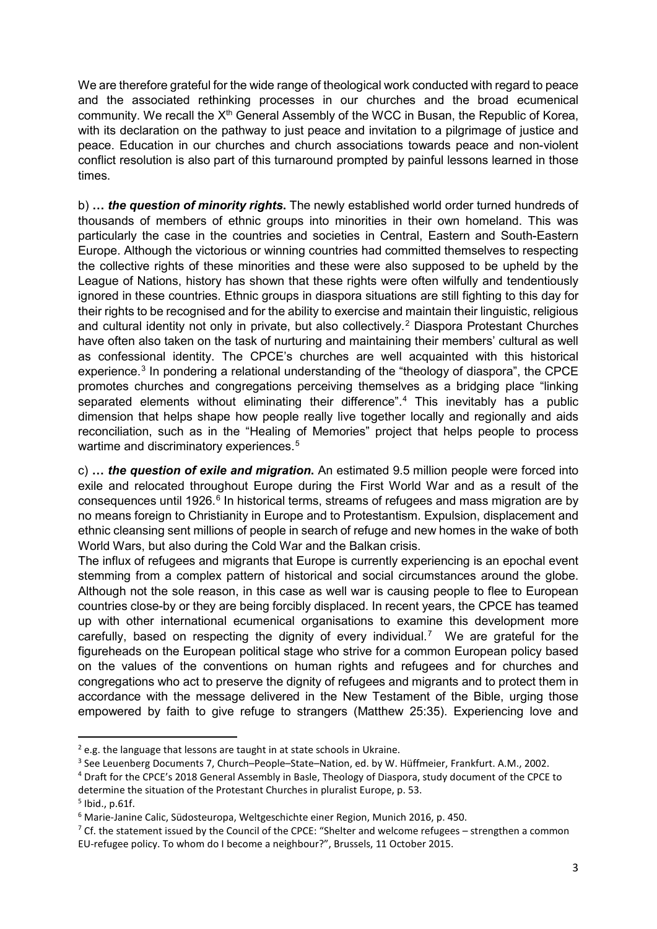We are therefore grateful for the wide range of theological work conducted with regard to peace and the associated rethinking processes in our churches and the broad ecumenical community. We recall the X<sup>th</sup> General Assembly of the WCC in Busan, the Republic of Korea, with its declaration on the pathway to just peace and invitation to a pilgrimage of justice and peace. Education in our churches and church associations towards peace and non-violent conflict resolution is also part of this turnaround prompted by painful lessons learned in those times.

b) **…** *the question of minority rights***.** The newly established world order turned hundreds of thousands of members of ethnic groups into minorities in their own homeland. This was particularly the case in the countries and societies in Central, Eastern and South-Eastern Europe. Although the victorious or winning countries had committed themselves to respecting the collective rights of these minorities and these were also supposed to be upheld by the League of Nations, history has shown that these rights were often wilfully and tendentiously ignored in these countries. Ethnic groups in diaspora situations are still fighting to this day for their rights to be recognised and for the ability to exercise and maintain their linguistic, religious and cultural identity not only in private, but also collectively.<sup>[2](#page-2-0)</sup> Diaspora Protestant Churches have often also taken on the task of nurturing and maintaining their members' cultural as well as confessional identity. The CPCE's churches are well acquainted with this historical experience.<sup>[3](#page-2-1)</sup> In pondering a relational understanding of the "theology of diaspora", the CPCE promotes churches and congregations perceiving themselves as a bridging place "linking separated elements without eliminating their difference".<sup>[4](#page-2-2)</sup> This inevitably has a public dimension that helps shape how people really live together locally and regionally and aids reconciliation, such as in the "Healing of Memories" project that helps people to process wartime and discriminatory experiences.<sup>[5](#page-2-3)</sup>

c) **…** *the question of exile and migration***.** An estimated 9.5 million people were forced into exile and relocated throughout Europe during the First World War and as a result of the consequences until 192[6](#page-2-4).<sup>6</sup> In historical terms, streams of refugees and mass migration are by no means foreign to Christianity in Europe and to Protestantism. Expulsion, displacement and ethnic cleansing sent millions of people in search of refuge and new homes in the wake of both World Wars, but also during the Cold War and the Balkan crisis.

The influx of refugees and migrants that Europe is currently experiencing is an epochal event stemming from a complex pattern of historical and social circumstances around the globe. Although not the sole reason, in this case as well war is causing people to flee to European countries close-by or they are being forcibly displaced. In recent years, the CPCE has teamed up with other international ecumenical organisations to examine this development more carefully, based on respecting the dignity of every individual.<sup>[7](#page-2-5)</sup> We are grateful for the figureheads on the European political stage who strive for a common European policy based on the values of the conventions on human rights and refugees and for churches and congregations who act to preserve the dignity of refugees and migrants and to protect them in accordance with the message delivered in the New Testament of the Bible, urging those empowered by faith to give refuge to strangers (Matthew 25:35). Experiencing love and

<span id="page-2-0"></span> $2$  e.g. the language that lessons are taught in at state schools in Ukraine.

<span id="page-2-1"></span><sup>&</sup>lt;sup>3</sup> See Leuenberg Documents 7, Church–People–State–Nation, ed. by W. Hüffmeier, Frankfurt. A.M., 2002.

<span id="page-2-2"></span><sup>4</sup> Draft for the CPCE's 2018 General Assembly in Basle, Theology of Diaspora, study document of the CPCE to determine the situation of the Protestant Churches in pluralist Europe, p. 53.

<span id="page-2-3"></span> $<sup>5</sup>$  Ibid., p.61f.</sup>

<span id="page-2-4"></span> $6$  Marie-Janine Calic, Südosteuropa, Weltgeschichte einer Region, Munich 2016, p. 450.

<span id="page-2-5"></span><sup>&</sup>lt;sup>7</sup> Cf. the statement issued by the Council of the CPCE: "Shelter and welcome refugees – strengthen a common EU-refugee policy. To whom do I become a neighbour?", Brussels, 11 October 2015.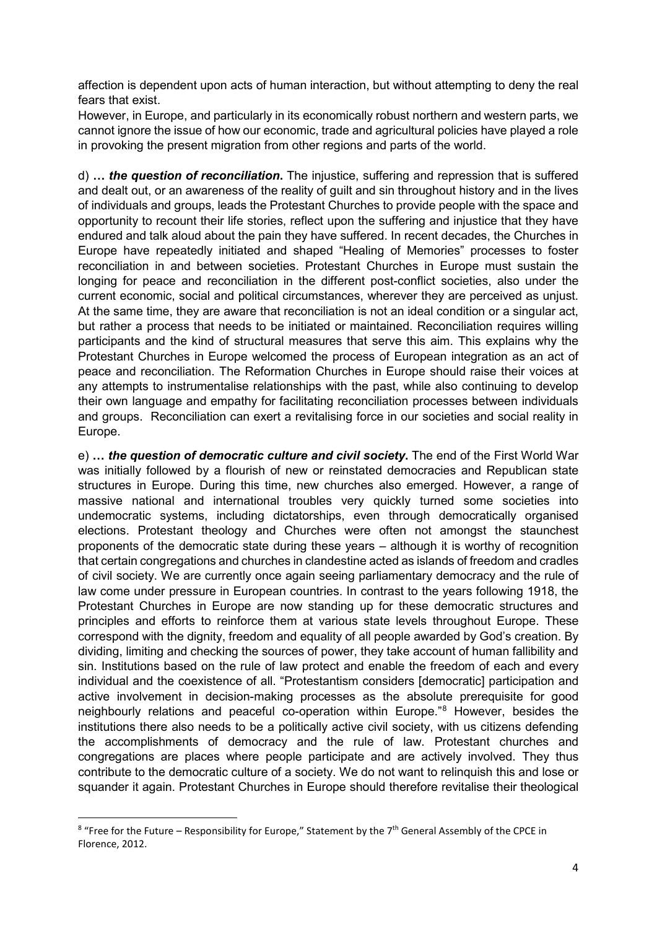affection is dependent upon acts of human interaction, but without attempting to deny the real fears that exist.

However, in Europe, and particularly in its economically robust northern and western parts, we cannot ignore the issue of how our economic, trade and agricultural policies have played a role in provoking the present migration from other regions and parts of the world.

d) **…** *the question of reconciliation***.** The injustice, suffering and repression that is suffered and dealt out, or an awareness of the reality of guilt and sin throughout history and in the lives of individuals and groups, leads the Protestant Churches to provide people with the space and opportunity to recount their life stories, reflect upon the suffering and injustice that they have endured and talk aloud about the pain they have suffered. In recent decades, the Churches in Europe have repeatedly initiated and shaped "Healing of Memories" processes to foster reconciliation in and between societies. Protestant Churches in Europe must sustain the longing for peace and reconciliation in the different post-conflict societies, also under the current economic, social and political circumstances, wherever they are perceived as unjust. At the same time, they are aware that reconciliation is not an ideal condition or a singular act, but rather a process that needs to be initiated or maintained. Reconciliation requires willing participants and the kind of structural measures that serve this aim. This explains why the Protestant Churches in Europe welcomed the process of European integration as an act of peace and reconciliation. The Reformation Churches in Europe should raise their voices at any attempts to instrumentalise relationships with the past, while also continuing to develop their own language and empathy for facilitating reconciliation processes between individuals and groups. Reconciliation can exert a revitalising force in our societies and social reality in Europe.

e) **…** *the question of democratic culture and civil society***.** The end of the First World War was initially followed by a flourish of new or reinstated democracies and Republican state structures in Europe. During this time, new churches also emerged. However, a range of massive national and international troubles very quickly turned some societies into undemocratic systems, including dictatorships, even through democratically organised elections. Protestant theology and Churches were often not amongst the staunchest proponents of the democratic state during these years – although it is worthy of recognition that certain congregations and churches in clandestine acted as islands of freedom and cradles of civil society. We are currently once again seeing parliamentary democracy and the rule of law come under pressure in European countries. In contrast to the years following 1918, the Protestant Churches in Europe are now standing up for these democratic structures and principles and efforts to reinforce them at various state levels throughout Europe. These correspond with the dignity, freedom and equality of all people awarded by God's creation. By dividing, limiting and checking the sources of power, they take account of human fallibility and sin. Institutions based on the rule of law protect and enable the freedom of each and every individual and the coexistence of all. "Protestantism considers [democratic] participation and active involvement in decision-making processes as the absolute prerequisite for good neighbourly relations and peaceful co-operation within Europe."[8](#page-3-0) However, besides the institutions there also needs to be a politically active civil society, with us citizens defending the accomplishments of democracy and the rule of law. Protestant churches and congregations are places where people participate and are actively involved. They thus contribute to the democratic culture of a society. We do not want to relinquish this and lose or squander it again. Protestant Churches in Europe should therefore revitalise their theological

<span id="page-3-0"></span><sup>&</sup>lt;sup>8</sup> "Free for the Future – Responsibility for Europe," Statement by the 7<sup>th</sup> General Assembly of the CPCE in Florence, 2012.